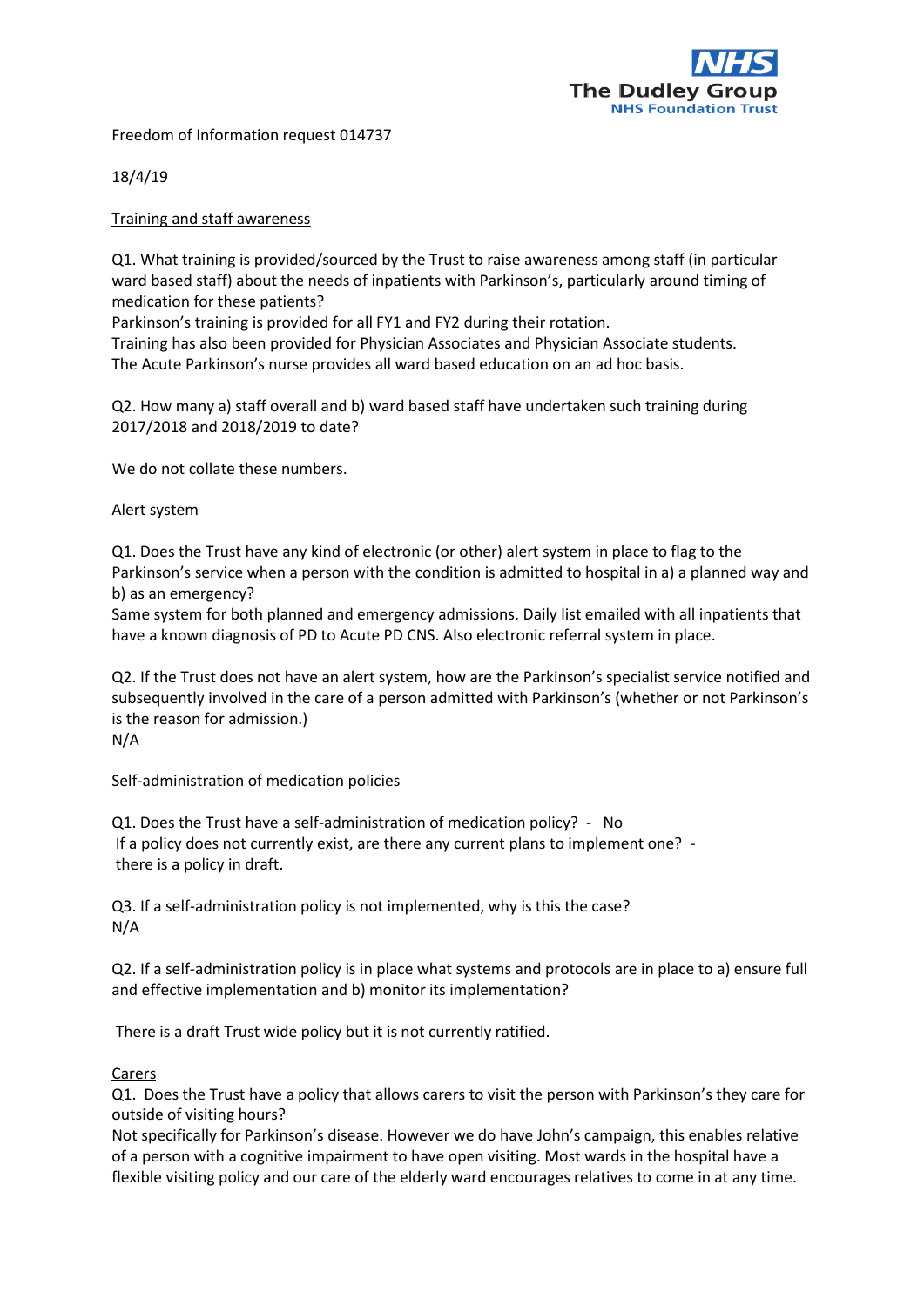

Freedom of Information request 014737

18/4/19

#### Training and staff awareness

Q1. What training is provided/sourced by the Trust to raise awareness among staff (in particular ward based staff) about the needs of inpatients with Parkinson's, particularly around timing of medication for these patients?

Parkinson's training is provided for all FY1 and FY2 during their rotation.

Training has also been provided for Physician Associates and Physician Associate students. The Acute Parkinson's nurse provides all ward based education on an ad hoc basis.

Q2. How many a) staff overall and b) ward based staff have undertaken such training during 2017/2018 and 2018/2019 to date?

We do not collate these numbers.

## Alert system

Q1. Does the Trust have any kind of electronic (or other) alert system in place to flag to the Parkinson's service when a person with the condition is admitted to hospital in a) a planned way and b) as an emergency?

Same system for both planned and emergency admissions. Daily list emailed with all inpatients that have a known diagnosis of PD to Acute PD CNS. Also electronic referral system in place.

Q2. If the Trust does not have an alert system, how are the Parkinson's specialist service notified and subsequently involved in the care of a person admitted with Parkinson's (whether or not Parkinson's is the reason for admission.)

N/A

# Self-administration of medication policies

Q1. Does the Trust have a self-administration of medication policy? - No If a policy does not currently exist, are there any current plans to implement one? there is a policy in draft.

Q3. If a self-administration policy is not implemented, why is this the case? N/A

Q2. If a self-administration policy is in place what systems and protocols are in place to a) ensure full and effective implementation and b) monitor its implementation?

There is a draft Trust wide policy but it is not currently ratified.

#### Carers

Q1. Does the Trust have a policy that allows carers to visit the person with Parkinson's they care for outside of visiting hours?

Not specifically for Parkinson's disease. However we do have John's campaign, this enables relative of a person with a cognitive impairment to have open visiting. Most wards in the hospital have a flexible visiting policy and our care of the elderly ward encourages relatives to come in at any time.